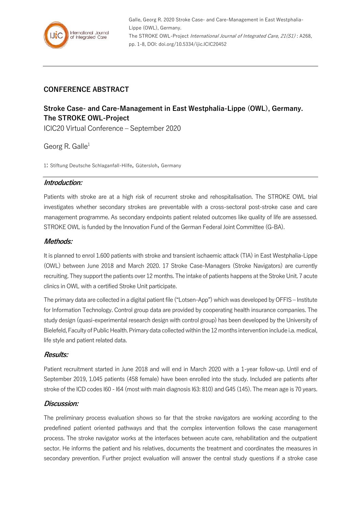

## **CONFERENCE ABSTRACT**

# **Stroke Case- and Care-Management in East Westphalia-Lippe (OWL), Germany. The STROKE OWL-Project**

ICIC20 Virtual Conference – September 2020

## Georg R. Galle<sup>1</sup>

1: Stiftung Deutsche Schlaganfall-Hilfe, Gütersloh, Germany

#### **Introduction:**

Patients with stroke are at a high risk of recurrent stroke and rehospitalisation. The STROKE OWL trial investigates whether secondary strokes are preventable with a cross-sectoral post-stroke case and care management programme. As secondary endpoints patient related outcomes like quality of life are assessed. STROKE OWL is funded by the Innovation Fund of the German Federal Joint Committee (G-BA).

#### **Methods:**

It is planned to enrol 1.600 patients with stroke and transient ischaemic attack (TIA) in East Westphalia-Lippe (OWL) between June 2018 and March 2020. 17 Stroke Case-Managers (Stroke Navigators) are currently recruiting. They support the patients over 12 months. The intake of patients happens at the Stroke Unit. 7 acute clinics in OWL with a certified Stroke Unit participate.

The primary data are collected in a digital patient file ("Lotsen-App") which was developed by OFFIS – Institute for Information Technology. Control group data are provided by cooperating health insurance companies. The study design (quasi-experimental research design with control group) has been developed by the University of Bielefeld, Faculty of Public Health. Primary data collected within the 12 months intervention include i.a. medical, life style and patient related data.

## **Results:**

Patient recruitment started in June 2018 and will end in March 2020 with a 1-year follow-up. Until end of September 2019, 1.045 patients (458 female) have been enrolled into the study. Included are patients after stroke of the ICD codes I60 - I64 (most with main diagnosis I63: 810) and G45 (145). The mean age is 70 years.

## **Discussion:**

The preliminary process evaluation shows so far that the stroke navigators are working according to the predefined patient oriented pathways and that the complex intervention follows the case management process. The stroke navigator works at the interfaces between acute care, rehabilitation and the outpatient sector. He informs the patient and his relatives, documents the treatment and coordinates the measures in secondary prevention. Further project evaluation will answer the central study questions if a stroke case